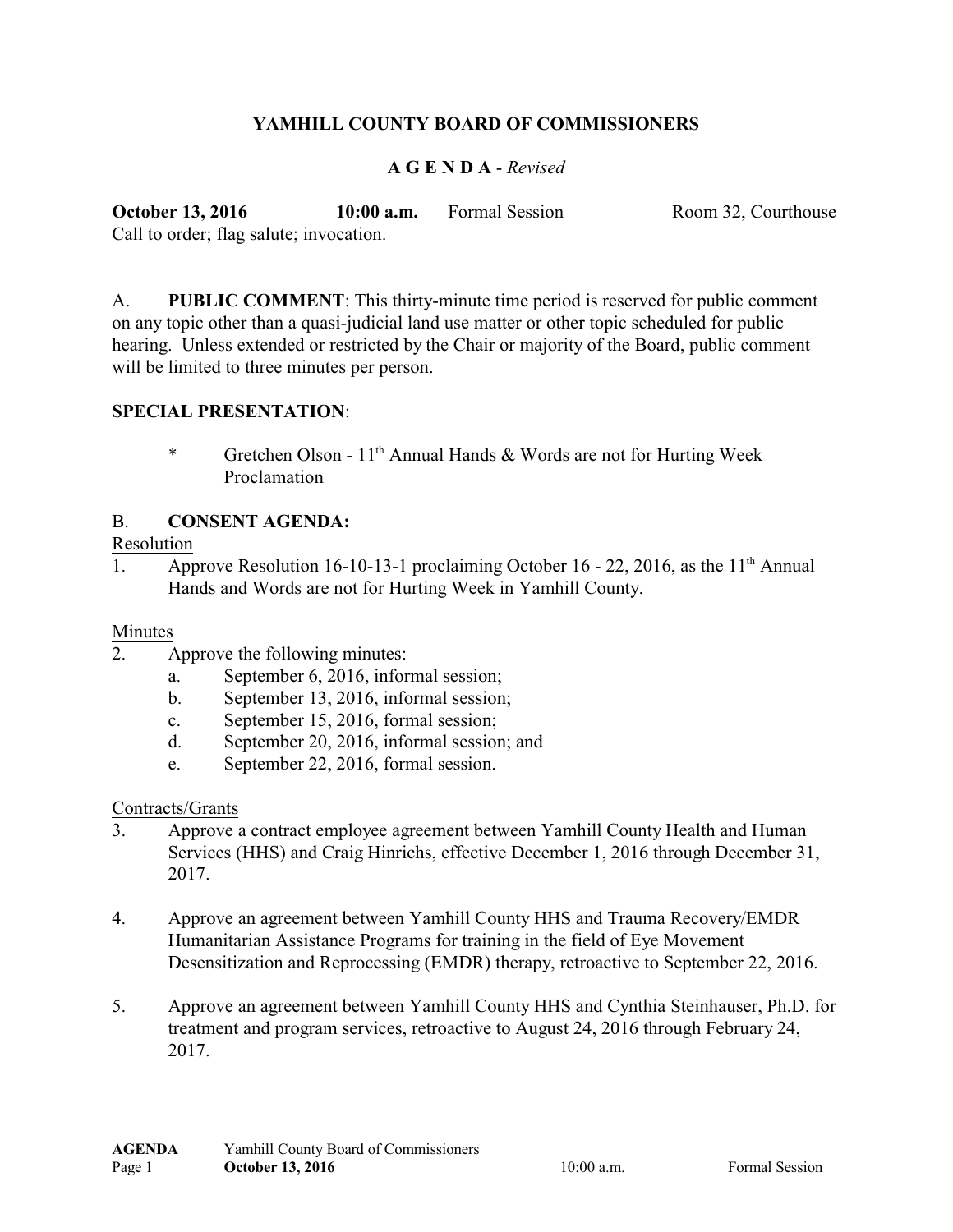# **YAMHILL COUNTY BOARD OF COMMISSIONERS**

### **A G E N D A** - *Revised*

**October 13, 2016 10:00 a.m.** Formal Session Room 32, Courthouse Call to order; flag salute; invocation.

A. **PUBLIC COMMENT**: This thirty-minute time period is reserved for public comment on any topic other than a quasi-judicial land use matter or other topic scheduled for public hearing. Unless extended or restricted by the Chair or majority of the Board, public comment will be limited to three minutes per person.

### **SPECIAL PRESENTATION**:

\* Gretchen Olson - 11<sup>th</sup> Annual Hands & Words are not for Hurting Week Proclamation

### B. **CONSENT AGENDA:**

#### Resolution

1. Approve Resolution 16-10-13-1 proclaiming October 16 - 22, 2016, as the  $11<sup>th</sup>$  Annual Hands and Words are not for Hurting Week in Yamhill County.

#### Minutes

- 2. Approve the following minutes:
	- a. September 6, 2016, informal session;
	- b. September 13, 2016, informal session;
	- c. September 15, 2016, formal session;
	- d. September 20, 2016, informal session; and
	- e. September 22, 2016, formal session.

#### Contracts/Grants

- 3. Approve a contract employee agreement between Yamhill County Health and Human Services (HHS) and Craig Hinrichs, effective December 1, 2016 through December 31, 2017.
- 4. Approve an agreement between Yamhill County HHS and Trauma Recovery/EMDR Humanitarian Assistance Programs for training in the field of Eye Movement Desensitization and Reprocessing (EMDR) therapy, retroactive to September 22, 2016.
- 5. Approve an agreement between Yamhill County HHS and Cynthia Steinhauser, Ph.D. for treatment and program services, retroactive to August 24, 2016 through February 24, 2017.